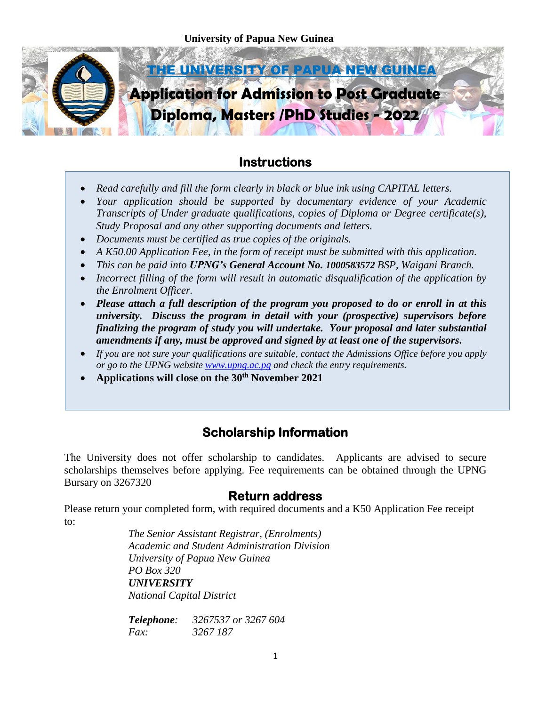

# **Instructions**

- *Read carefully and fill the form clearly in black or blue ink using CAPITAL letters.*  I
- *Your application should be supported by documentary evidence of your Academic Transcripts of Under graduate qualifications, copies of Diploma or Degree certificate(s), Study Proposal and any other supporting documents and letters.*
- *Documents must be certified as true copies of the originals.*
- *A K50.00 Application Fee, in the form of receipt must be submitted with this application.*
- *This can be paid into UPNG's General Account No. 1000583572 BSP, Waigani Branch.*
- *Incorrect filling of the form will result in automatic disqualification of the application by the Enrolment Officer.*
- *Please attach a full description of the program you proposed to do or enroll in at this university. Discuss the program in detail with your (prospective) supervisors before finalizing the program of study you will undertake. Your proposal and later substantial amendments if any, must be approved and signed by at least one of the supervisors***.**
- *If you are not sure your qualifications are suitable, contact the Admissions Office before you apply or go to the UPNG website [www.upng.ac.pg](http://www.upng.ac.pg/) and check the entry requirements.*
- **Applications will close on the 30th November 2021**

# **Scholarship Information**

The University does not offer scholarship to candidates. Applicants are advised to secure scholarships themselves before applying. Fee requirements can be obtained through the UPNG Bursary on 3267320

## **Return address**

Please return your completed form, with required documents and a K50 Application Fee receipt to:

> *The Senior Assistant Registrar, (Enrolments) Academic and Student Administration Division University of Papua New Guinea PO Box 320 UNIVERSITY National Capital District*

*Telephone: 3267537 or 3267 604 Fax: 3267 187*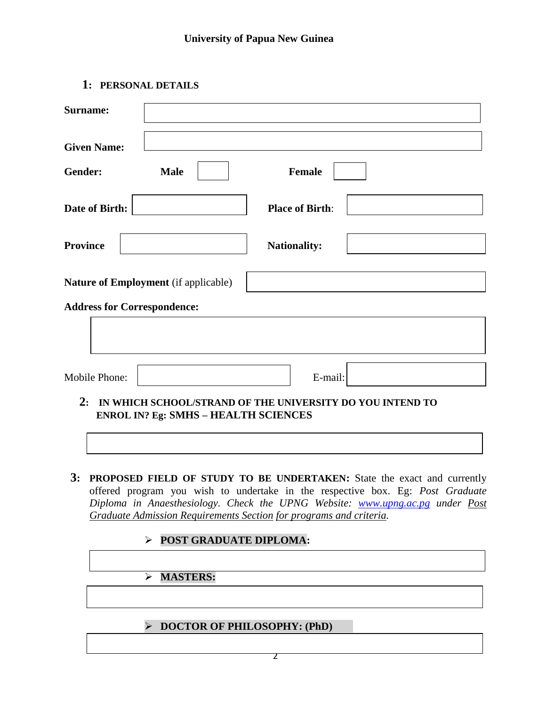## **1: PERSONAL DETAILS**

| Gender:                            | <b>Male</b>                                 | <b>Female</b>                                                |  |
|------------------------------------|---------------------------------------------|--------------------------------------------------------------|--|
| Date of Birth:                     |                                             | <b>Place of Birth:</b>                                       |  |
| <b>Province</b>                    |                                             | <b>Nationality:</b>                                          |  |
|                                    | <b>Nature of Employment</b> (if applicable) |                                                              |  |
| <b>Address for Correspondence:</b> |                                             |                                                              |  |
|                                    |                                             |                                                              |  |
| Mobile Phone:                      |                                             | E-mail:                                                      |  |
|                                    | <b>ENROL IN? Eg: SMHS - HEALTH SCIENCES</b> | 2: IN WHICH SCHOOL/STRAND OF THE UNIVERSITY DO YOU INTEND TO |  |
|                                    |                                             |                                                              |  |

**POST GRADUATE DIPLOMA:** 

# **MASTERS:**

### **DOCTOR OF PHILOSOPHY: (PhD)**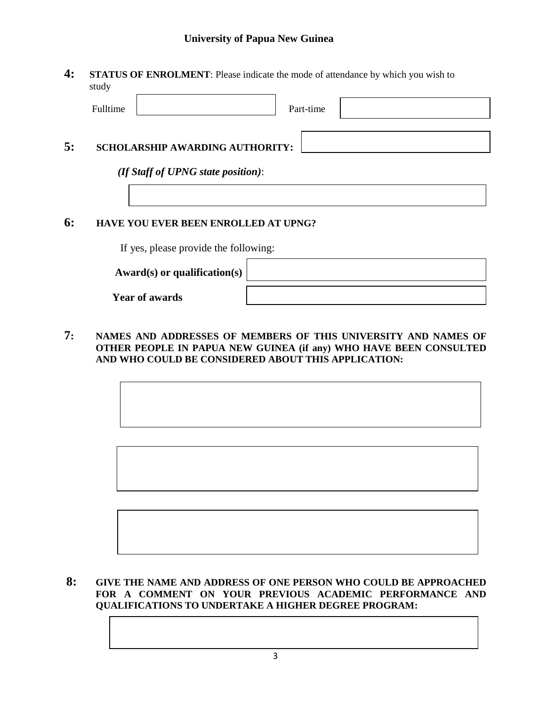#### **University of Papua New Guinea**

**4: STATUS OF ENROLMENT**: Please indicate the mode of attendance by which you wish to study

|    | Fulltime                               |                                    | Part-time |  |  |  |
|----|----------------------------------------|------------------------------------|-----------|--|--|--|
| 5: | <b>SCHOLARSHIP AWARDING AUTHORITY:</b> |                                    |           |  |  |  |
|    |                                        | (If Staff of UPNG state position): |           |  |  |  |
|    |                                        |                                    |           |  |  |  |

### **6: HAVE YOU EVER BEEN ENROLLED AT UPNG?**

If yes, please provide the following:

**Award(s) or qualification(s)**

**Year of awards**

**7: NAMES AND ADDRESSES OF MEMBERS OF THIS UNIVERSITY AND NAMES OF OTHER PEOPLE IN PAPUA NEW GUINEA (if any) WHO HAVE BEEN CONSULTED AND WHO COULD BE CONSIDERED ABOUT THIS APPLICATION:**

#### **8: GIVE THE NAME AND ADDRESS OF ONE PERSON WHO COULD BE APPROACHED FOR A COMMENT ON YOUR PREVIOUS ACADEMIC PERFORMANCE AND QUALIFICATIONS TO UNDERTAKE A HIGHER DEGREE PROGRAM:**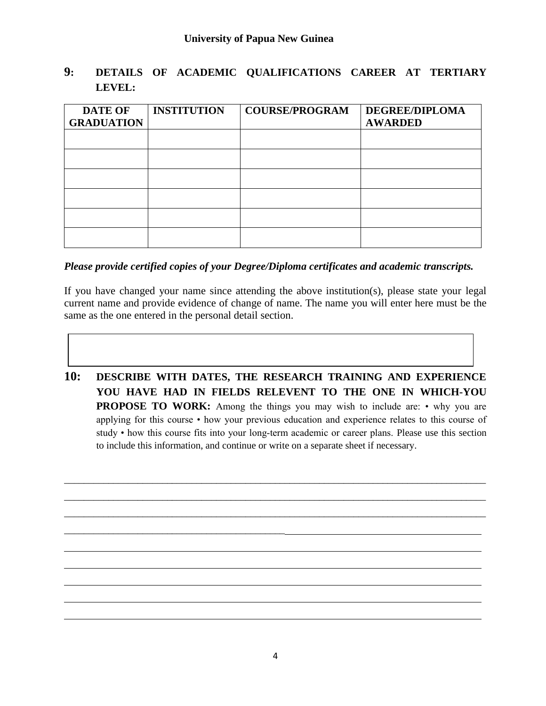### **9: DETAILS OF ACADEMIC QUALIFICATIONS CAREER AT TERTIARY LEVEL:**

| <b>DATE OF</b>    | <b>INSTITUTION</b> | <b>COURSE/PROGRAM</b> | <b>DEGREE/DIPLOMA</b> |
|-------------------|--------------------|-----------------------|-----------------------|
| <b>GRADUATION</b> |                    |                       | <b>AWARDED</b>        |
|                   |                    |                       |                       |
|                   |                    |                       |                       |
|                   |                    |                       |                       |
|                   |                    |                       |                       |
|                   |                    |                       |                       |
|                   |                    |                       |                       |
|                   |                    |                       |                       |

#### *Please provide certified copies of your Degree/Diploma certificates and academic transcripts.*

If you have changed your name since attending the above institution(s), please state your legal current name and provide evidence of change of name. The name you will enter here must be the same as the one entered in the personal detail section.

**10: DESCRIBE WITH DATES, THE RESEARCH TRAINING AND EXPERIENCE YOU HAVE HAD IN FIELDS RELEVENT TO THE ONE IN WHICH-YOU PROPOSE TO WORK:** Among the things you may wish to include are: • why you are applying for this course • how your previous education and experience relates to this course of study • how this course fits into your long-term academic or career plans. Please use this section to include this information, and continue or write on a separate sheet if necessary.

\_\_\_\_\_\_\_\_\_\_\_\_\_\_\_\_\_\_\_\_\_\_\_\_\_\_\_\_\_\_\_\_\_\_\_\_\_\_\_\_\_\_\_\_\_\_\_\_\_\_\_\_\_\_\_\_\_\_\_\_\_\_\_\_\_\_\_\_\_\_\_\_\_\_\_\_\_\_\_\_\_\_\_\_\_\_ \_\_\_\_\_\_\_\_\_\_\_\_\_\_\_\_\_\_\_\_\_\_\_\_\_\_\_\_\_\_\_\_\_\_\_\_\_\_\_\_\_\_\_\_\_\_\_\_\_\_\_\_\_\_\_\_\_\_\_\_\_\_\_\_\_\_\_\_\_\_\_\_\_\_\_\_\_\_\_\_\_\_\_\_\_\_ \_\_\_\_\_\_\_\_\_\_\_\_\_\_\_\_\_\_\_\_\_\_\_\_\_\_\_\_\_\_\_\_\_\_\_\_\_\_\_\_\_\_\_\_\_\_\_\_\_\_\_\_\_\_\_\_\_\_\_\_\_\_\_\_\_\_\_\_\_\_\_\_\_\_\_\_\_\_\_\_\_\_\_\_\_\_

\_\_\_\_\_\_\_\_\_\_\_\_\_\_\_\_\_\_\_\_\_\_\_\_\_\_\_\_\_\_\_\_\_\_\_\_\_\_\_\_\_\_\_\_\_